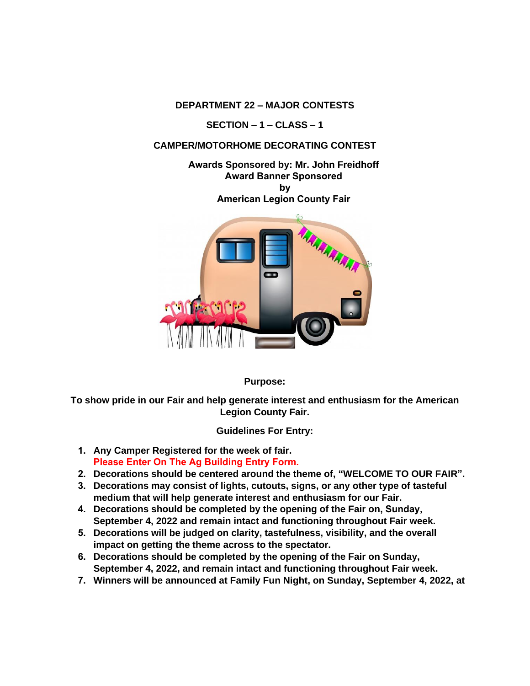**DEPARTMENT 22 – MAJOR CONTESTS**

**SECTION – 1 – CLASS – 1**

## **CAMPER/MOTORHOME DECORATING CONTEST**

**Awards Sponsored by: Mr. John Freidhoff Award Banner Sponsored by American Legion County Fair**



**Purpose:** 

**To show pride in our Fair and help generate interest and enthusiasm for the American Legion County Fair.** 

**Guidelines For Entry:** 

- **1. Any Camper Registered for the week of fair. Please Enter On The Ag Building Entry Form.**
- **2. Decorations should be centered around the theme of, "WELCOME TO OUR FAIR".**
- **3. Decorations may consist of lights, cutouts, signs, or any other type of tasteful medium that will help generate interest and enthusiasm for our Fair.**
- **4. Decorations should be completed by the opening of the Fair on, Sunday, September 4, 2022 and remain intact and functioning throughout Fair week.**
- **5. Decorations will be judged on clarity, tastefulness, visibility, and the overall impact on getting the theme across to the spectator.**
- **6. Decorations should be completed by the opening of the Fair on Sunday, September 4, 2022, and remain intact and functioning throughout Fair week.**
- **7. Winners will be announced at Family Fun Night, on Sunday, September 4, 2022, at**